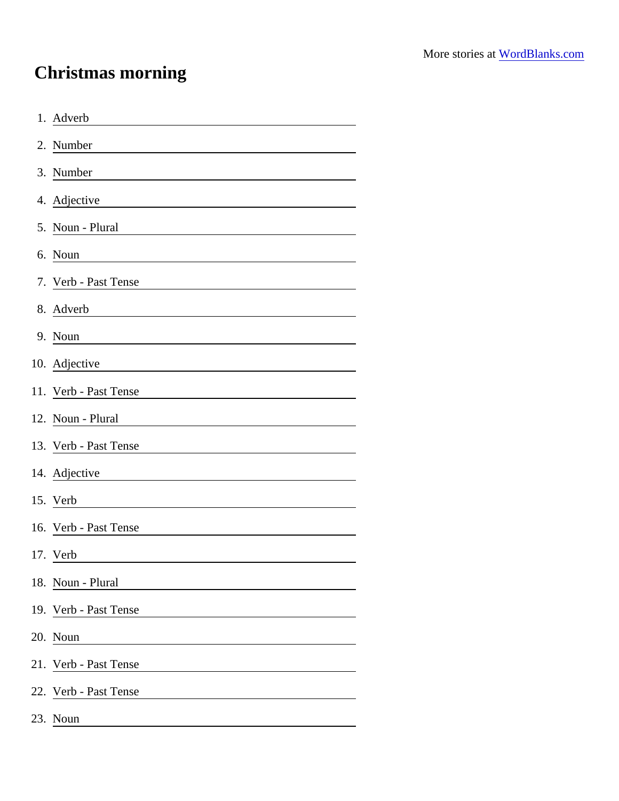## Christmas morning

| 1. Adverb                                                                                                                                   |
|---------------------------------------------------------------------------------------------------------------------------------------------|
| 2. Number                                                                                                                                   |
| 3. Number                                                                                                                                   |
| 4. Adjective                                                                                                                                |
| 5. Noun - Plural                                                                                                                            |
| 6. Noun                                                                                                                                     |
| 7. Verb - Past Tense<br><u> 1989 - Johann Barbara, martxa eta idazlea (h. 1989).</u>                                                        |
| 8. Adverb                                                                                                                                   |
| 9. Noun                                                                                                                                     |
| 10. Adjective<br><u> 1989 - Johann Barnett, fransk politik (d. 1989)</u>                                                                    |
| 11. Verb - Past Tense                                                                                                                       |
| 12. Noun - Plural<br><u> 1980 - Johann Barbara, martxa a filial an t-Alban an t-Alban an t-Alban an t-Alban an t-Alban an t-Alban an t-</u> |
| 13. Verb - Past Tense                                                                                                                       |
| 14. Adjective <b>Container and Container and Container and Container and Container</b>                                                      |
| 15. Verb                                                                                                                                    |
| 16. Verb - Past Tense                                                                                                                       |
| 17. Verb                                                                                                                                    |
| 18. Noun - Plural                                                                                                                           |
| 19. Verb - Past Tense                                                                                                                       |
| 20. Noun<br><u> 1989 - Jan Samuel Barbara, politik e</u>                                                                                    |
| 21. Verb - Past Tense                                                                                                                       |
| 22. Verb - Past Tense                                                                                                                       |
| 23. Noun                                                                                                                                    |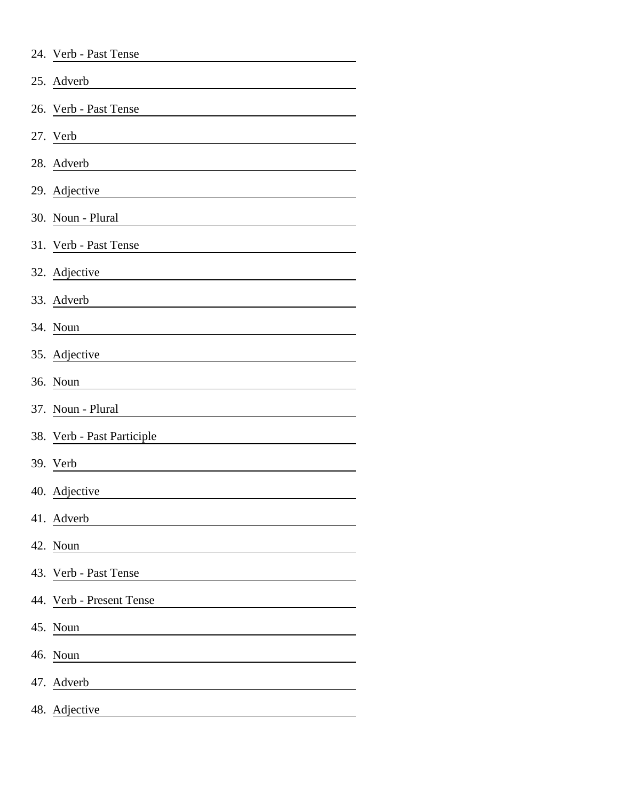| 24. Verb - Past Tense      |
|----------------------------|
| 25. Adverb                 |
| 26. Verb - Past Tense      |
| 27. Verb                   |
| 28. Adverb                 |
| 29. Adjective              |
| 30. Noun - Plural          |
| 31. Verb - Past Tense      |
| 32. Adjective              |
| 33. Adverb                 |
| 34. Noun                   |
| 35. Adjective              |
| 36. Noun                   |
| 37. Noun - Plural          |
| 38. Verb - Past Participle |
| 39. Verb                   |
| 40. Adjective              |
| 41. Adverb                 |
| 42. Noun                   |
| 43. Verb - Past Tense      |
| 44. Verb - Present Tense   |
| 45. Noun                   |
| 46. Noun                   |
| 47. Adverb                 |
| 48. Adjective              |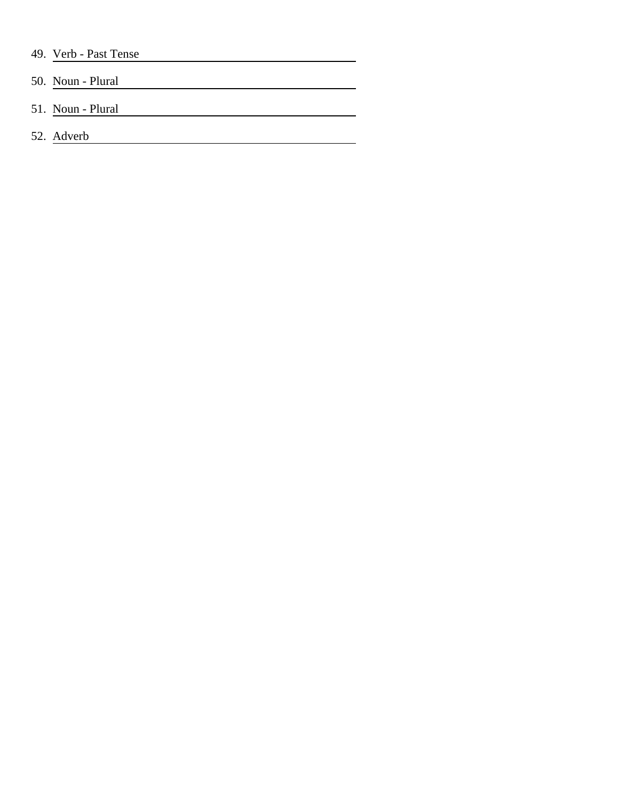- 49. Verb Past Tense
- 50. Noun Plural
- 51. Noun Plural

52. Adverb